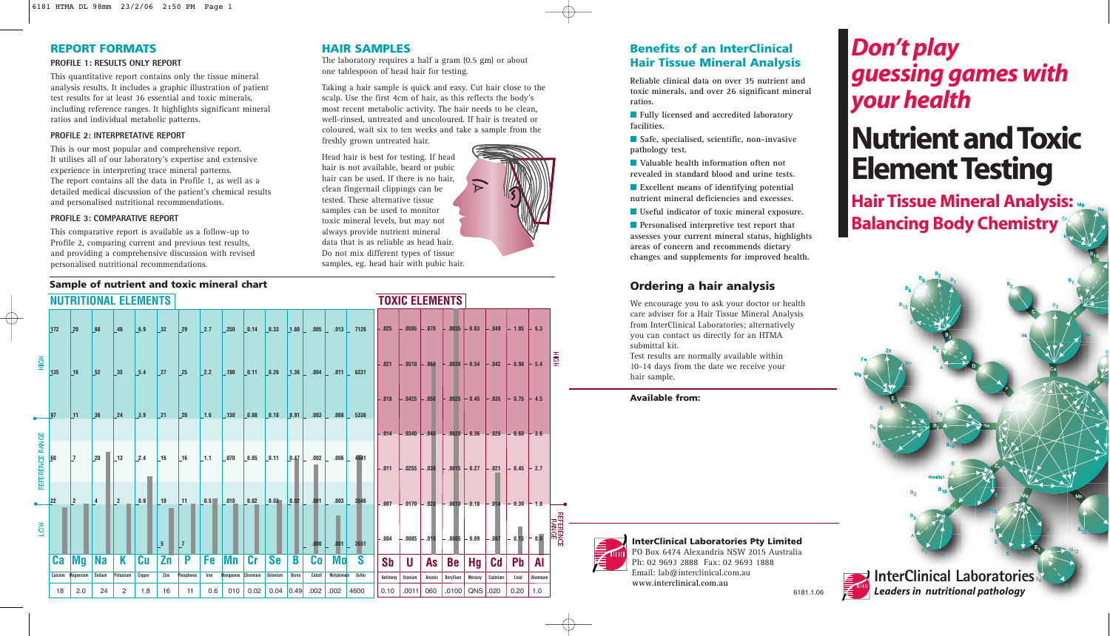## **REPORT FORMATS**

### **PROFILE 1: RESULTS ONLY REPORT**

This quantitative report contains only the tissue mineral analysis results. It includes a graphic illustration of patient test results for at least 36 essential and toxic minerals, including reference ranges. It highlights significant mineral ratios and individual metabolic patterns.

#### **PROFILE 2: INTERPRETATIVE REPORT**

This is our most popular and comprehensive report. It utilises all of our laboratory's expertise and extensive experience in interpreting trace mineral patterns. The report contains all the data in Profile 1, as well as a detailed medical discussion of the patient's chemical results and personalised nutritional recommendations.

#### **PROFILE 3: COMPARATIVE REPORT**

This comparative report is available as a follow-up to Profile 2, comparing current and previous test results, and providing a comprehensive discussion with revised personalised nutritional recommendations.

## **Sample of nutrient and toxic mineral chart**

## **HAIR SAMPLES**

The laboratory requires a half a gram (0.5 gm) or about one tablespoon of head hair for testing.

Taking a hair sample is quick and easy. Cut hair close to the scalp. Use the first 4cm of hair, as this reflects the body's most recent metabolic activity. The hair needs to be clean, well-rinsed, untreated and uncoloured. If hair is treated or coloured, wait six to ten weeks and take a sample from the freshly grown untreated hair.

Head hair is best for testing. If head hair is not available, beard or pubic hair can be used. If there is no hair, clean fingernail clippings can be tested. These alternative tissue samples can be used to monitor toxic mineral levels, but may not always provide nutrient mineral data that is as reliable as head hair. Do not mix different types of tissue samples, eg. head hair with pubic hair.

|           | sample of nutrient and toxic mineral chart |                             |              |                |               |                 |                      |      |                        |                               |              |       |                                                                                                     |            |                         |           |                 |                 |                                        |          |                |               |          |
|-----------|--------------------------------------------|-----------------------------|--------------|----------------|---------------|-----------------|----------------------|------|------------------------|-------------------------------|--------------|-------|-----------------------------------------------------------------------------------------------------|------------|-------------------------|-----------|-----------------|-----------------|----------------------------------------|----------|----------------|---------------|----------|
|           |                                            | <b>NUTRITIONAL ELEMENTS</b> |              |                |               |                 |                      |      |                        |                               |              |       |                                                                                                     |            |                         |           |                 |                 | <b>TOXIC ELEMENTS</b>                  |          |                |               |          |
|           | 172                                        | 20                          | 68           | 46             | 6.9           | 32              | 29                   | 2.7  | $\vert$ .250           | 0.14                          | $\vert$ 0.33 |       |                                                                                                     |            | $ 1.80 $ .005 .013 7126 | $-.025$   | $-.0595 - .070$ |                 | $+ .0035 + 0.63$                       |          | $-.049$        | $-1.05$       | $-6.3$   |
| 풍         | 135                                        | 16                          | 52           | 35             | 5.4           | 27              | 25                   | 2.2  | $\vert$ .190           | $\vert 0.11 \vert 0.26 \vert$ |              |       | $\vert 1.36 \vert$ .004 .011 6231                                                                   |            |                         | $-.021$   | $-0.0510 - 060$ |                 | $+ .0030 + 0.54$                       |          | $-.042$        | $-0.90$       | $-5.4$   |
|           | 97                                         | 11                          | 36           | 24             | 3.9           | $\vert$ 21      | $ 20\rangle$         | 1.6  | $\vert$ .130           | 0.08                          | 0.18         |       | $ 0.91 $ .003                                                                                       | .008       | 5336                    | $-.018$   | $-0.425 - 0.50$ |                 | $-.0025$                               | $-0.45$  | $-.035$        | $-0.75 + 4.5$ |          |
| RANGE     |                                            |                             |              |                |               |                 |                      |      |                        |                               |              |       |                                                                                                     |            |                         | $-.014$   |                 | $.0340 - .040$  | $-.0020$                               | $-0.36$  | $-.028$        | $-0.60 + 3.6$ |          |
| REFERENCE | 60                                         | <b>7</b>                    | $ 20\rangle$ | 13             | 2.4           | 16              | 16                   | 1.1  | .070                   | $\vert$ 0.05                  |              |       | $\begin{array}{ c c c c c c c c c c c } \hline 0.11 & 0.47 & 002 & 006 & 4441 \ \hline \end{array}$ |            |                         | $-.011$   | $-.0255 - .030$ |                 | $-.0015 - 0.27$                        |          | $-.021$        | $-0.45$       | $-2.7$   |
|           | 22                                         | l 2                         | 4            | $\vert$ 2      | $\boxed{0.9}$ | $ 10\rangle$    | $\lfloor 11 \rfloor$ | 0.5  | $\lfloor .010 \rfloor$ | $\boxed{0.02}$                |              |       | $\begin{bmatrix} 0.03 & 0.02 \end{bmatrix}$ .001 .003                                               |            | 3546                    | $-.007$   |                 |                 | $-0.170 - 0.020 - 0.010 - 0.18 - 0.14$ |          |                | $-0.30 + 1.8$ |          |
| ≷         |                                            |                             |              |                |               | $5\phantom{.0}$ | 7                    |      |                        |                               |              |       | $.000+$                                                                                             | .001       | 2651                    | $-.004$   |                 | $-0.0085 - 010$ | $-.0005$                               | $-0.09$  | - .007         | $-0.15$       | $-0.9$   |
|           | Ca                                         | Mg                          | <b>Na</b>    | K              | Cu            | Zn              | P                    | Fe   | Mn                     | cr                            | <b>Se</b>    | B     | Co                                                                                                  | <b>Mo</b>  | S                       | <b>Sb</b> | U               | <b>As</b>       | Be                                     | Hq       | C <sub>d</sub> | <b>Pb</b>     | Al       |
|           | Calcium                                    | Magnesium                   | Sodium       | Potassium      | Copper        | Zinc            | Phosphorus           | Iron | <b>Manganese</b>       | Chromium                      | Selenium     | Boron | Cobalt                                                                                              | Molybdenum | Sulfur                  | Antimony  | Uranium         | Arsenic         | Beryllium                              | Mercury  | Cadmium        | Lead          | Aluminum |
|           | 18                                         | 2.0                         | 24           | $\overline{2}$ | 1.8           | 16              | 11                   | 0.6  | 010                    | 0.02                          | $0.04$ 0.49  |       | .002                                                                                                | .002       | 4600                    | 0.10      | .0011           | 060             | .0100                                  | QNS .020 |                | 0.20          | 1.0      |

## **Benefits of an InterClinical Hair Tissue Mineral Analysis**

**Reliable clinical data on over 35 nutrient and toxic minerals, and over 26 significant mineral ratios.**

■ **Fully licensed and accredited laboratory facilities.**

■ Safe, specialised, scientific, non-invasive **pathology test.**

■ **Valuable health information often not revealed in standard blood and urine tests.**

■ **Excellent means of identifying potential nutrient mineral deficiencies and excesses.**

■ **Useful indicator of toxic mineral exposure.** 

■ **Personalised interpretive test report that assesses your current mineral status, highlights areas of concern and recommends dietary changes and supplements for improved health.**

## **Ordering a hair analysis**

We encourage you to ask your doctor or health care adviser for a Hair Tissue Mineral Analysis from InterClinical Laboratories; alternatively you can contact us directly for an HTMA submittal kit.

Test results are normally available within 10-14 days from the date we receive your hair sample.

**Available from:**



**InterClinical Laboratories Pty Limited** PO Box 6474 Alexandria NSW 2015 Australia Ph: 02 9693 2888 Fax: 02 9693 1888 Email: lab@interclinical.com.au **www.interclinical.com.au**



## *Don't play guessing games with your health*

# **Nutrient and Toxic Element Testing**

**Hair Tissue Mineral Analysis: Balancing Body Chemistry**



6181.1.06